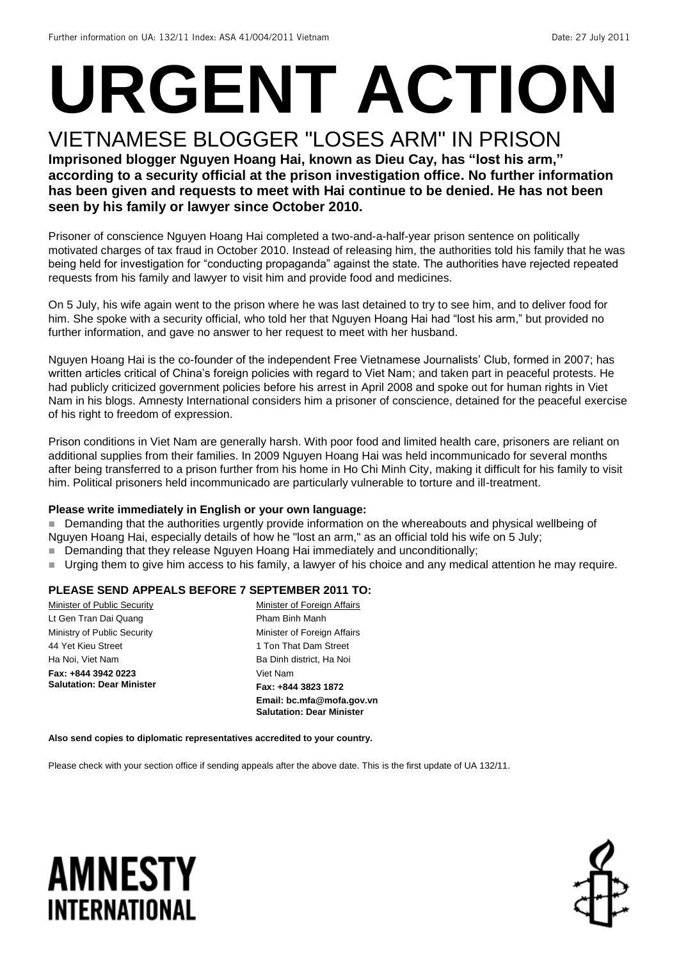# **URGENT ACTION**

#### VIETNAMESE BLOGGER "LOSES ARM" IN PRISON **Imprisoned blogger Nguyen Hoang Hai, known as Dieu Cay, has "lost his arm," according to a security official at the prison investigation office. No further information has been given and requests to meet with Hai continue to be denied. He has not been seen by his family or lawyer since October 2010.**

Prisoner of conscience Nguyen Hoang Hai completed a two-and-a-half-year prison sentence on politically motivated charges of tax fraud in October 2010. Instead of releasing him, the authorities told his family that he was being held for investigation for "conducting propaganda" against the state. The authorities have rejected repeated requests from his family and lawyer to visit him and provide food and medicines.

On 5 July, his wife again went to the prison where he was last detained to try to see him, and to deliver food for him. She spoke with a security official, who told her that Nguyen Hoang Hai had "lost his arm," but provided no further information, and gave no answer to her request to meet with her husband.

Nguyen Hoang Hai is the co-founder of the independent Free Vietnamese Journalists' Club, formed in 2007; has written articles critical of China's foreign policies with regard to Viet Nam; and taken part in peaceful protests. He had publicly criticized government policies before his arrest in April 2008 and spoke out for human rights in Viet Nam in his blogs. Amnesty International considers him a prisoner of conscience, detained for the peaceful exercise of his right to freedom of expression.

Prison conditions in Viet Nam are generally harsh. With poor food and limited health care, prisoners are reliant on additional supplies from their families. In 2009 Nguyen Hoang Hai was held incommunicado for several months after being transferred to a prison further from his home in Ho Chi Minh City, making it difficult for his family to visit him. Political prisoners held incommunicado are particularly vulnerable to torture and ill-treatment.

#### **Please write immediately in English or your own language:**

Demanding that the authorities urgently provide information on the whereabouts and physical wellbeing of Nguyen Hoang Hai, especially details of how he "lost an arm," as an official told his wife on 5 July;

- Demanding that they release Nguyen Hoang Hai immediately and unconditionally;
- Urging them to give him access to his family, a lawyer of his choice and any medical attention he may require.

#### **PLEASE SEND APPEALS BEFORE 7 SEPTEMBER 2011 TO:**

|                                  | Email: bc.mfa@mofa.gov.vn<br><b>Salutation: Dear Minister</b> |
|----------------------------------|---------------------------------------------------------------|
| <b>Salutation: Dear Minister</b> | Fax: +844 3823 1872                                           |
| Fax: +844 3942 0223              | Viet Nam                                                      |
| Ha Noi, Viet Nam                 | Ba Dinh district, Ha Noi                                      |
| 44 Yet Kieu Street               | 1 Ton That Dam Street                                         |
| Ministry of Public Security      | Minister of Foreign Affairs                                   |
| Lt Gen Tran Dai Quang            | Pham Binh Manh                                                |
| Minister of Public Security      | Minister of Foreign Affairs                                   |

**Also send copies to diplomatic representatives accredited to your country.**

Please check with your section office if sending appeals after the above date. This is the first update of UA 132/11.